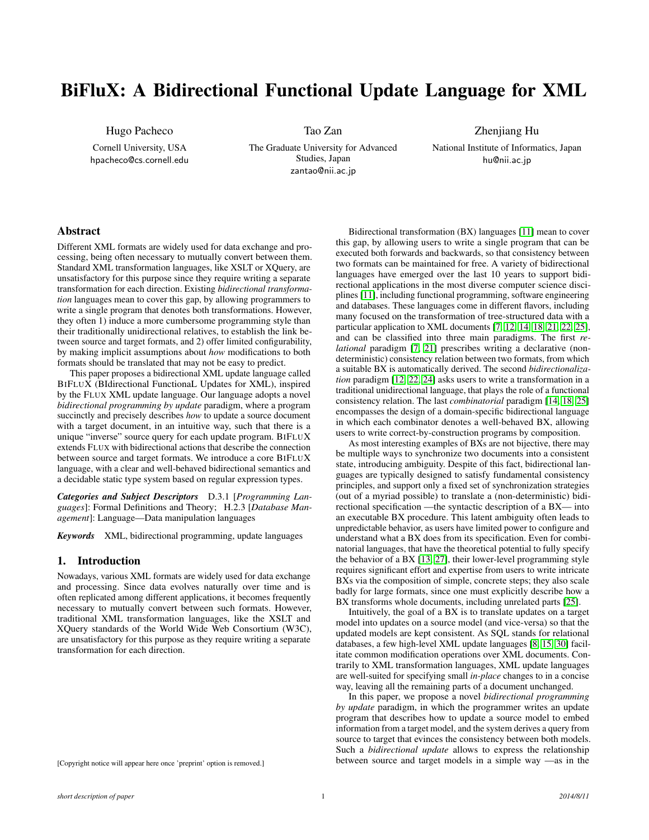# BiFluX: A Bidirectional Functional Update Language for XML

Hugo Pacheco

Cornell University, USA hpacheco@cs.cornell.edu Tao Zan

The Graduate University for Advanced Studies, Japan zantao@nii.ac.jp

Zhenjiang Hu National Institute of Informatics, Japan hu@nii.ac.jp

# Abstract

Different XML formats are widely used for data exchange and processing, being often necessary to mutually convert between them. Standard XML transformation languages, like XSLT or XQuery, are unsatisfactory for this purpose since they require writing a separate transformation for each direction. Existing *bidirectional transformation* languages mean to cover this gap, by allowing programmers to write a single program that denotes both transformations. However, they often 1) induce a more cumbersome programming style than their traditionally unidirectional relatives, to establish the link between source and target formats, and 2) offer limited configurability, by making implicit assumptions about *how* modifications to both formats should be translated that may not be easy to predict.

This paper proposes a bidirectional XML update language called BIFLUX (BIdirectional FunctionaL Updates for XML), inspired by the FLUX XML update language. Our language adopts a novel *bidirectional programming by update* paradigm, where a program succinctly and precisely describes *how* to update a source document with a target document, in an intuitive way, such that there is a unique "inverse" source query for each update program. BIFLUX extends FLUX with bidirectional actions that describe the connection between source and target formats. We introduce a core BIFLUX language, with a clear and well-behaved bidirectional semantics and a decidable static type system based on regular expression types.

*Categories and Subject Descriptors* D.3.1 [*Programming Languages*]: Formal Definitions and Theory; H.2.3 [*Database Management*]: Language—Data manipulation languages

*Keywords* XML, bidirectional programming, update languages

## 1. Introduction

Nowadays, various XML formats are widely used for data exchange and processing. Since data evolves naturally over time and is often replicated among different applications, it becomes frequently necessary to mutually convert between such formats. However, traditional XML transformation languages, like the XSLT and XQuery standards of the World Wide Web Consortium (W3C), are unsatisfactory for this purpose as they require writing a separate transformation for each direction.

Bidirectional transformation (BX) languages [\[11\]](#page-11-0) mean to cover this gap, by allowing users to write a single program that can be executed both forwards and backwards, so that consistency between two formats can be maintained for free. A variety of bidirectional languages have emerged over the last 10 years to support bidirectional applications in the most diverse computer science disciplines [\[11\]](#page-11-0), including functional programming, software engineering and databases. These languages come in different flavors, including many focused on the transformation of tree-structured data with a particular application to XML documents [\[7,](#page-11-1) [12,](#page-11-2) [14,](#page-11-3) [18,](#page-11-4) [21,](#page-11-5) [22,](#page-11-6) [25\]](#page-11-7), and can be classified into three main paradigms. The first *relational* paradigm [\[7,](#page-11-1) [21\]](#page-11-5) prescribes writing a declarative (nondeterministic) consistency relation between two formats, from which a suitable BX is automatically derived. The second *bidirectionalization* paradigm [\[12,](#page-11-2) [22,](#page-11-6) [24\]](#page-11-8) asks users to write a transformation in a traditional unidirectional language, that plays the role of a functional consistency relation. The last *combinatorial* paradigm [\[14,](#page-11-3) [18,](#page-11-4) [25\]](#page-11-7) encompasses the design of a domain-specific bidirectional language in which each combinator denotes a well-behaved BX, allowing users to write correct-by-construction programs by composition.

As most interesting examples of BXs are not bijective, there may be multiple ways to synchronize two documents into a consistent state, introducing ambiguity. Despite of this fact, bidirectional languages are typically designed to satisfy fundamental consistency principles, and support only a fixed set of synchronization strategies (out of a myriad possible) to translate a (non-deterministic) bidirectional specification —the syntactic description of a BX— into an executable BX procedure. This latent ambiguity often leads to unpredictable behavior, as users have limited power to configure and understand what a BX does from its specification. Even for combinatorial languages, that have the theoretical potential to fully specify the behavior of a BX [\[13,](#page-11-9) [27\]](#page-11-10), their lower-level programming style requires significant effort and expertise from users to write intricate BXs via the composition of simple, concrete steps; they also scale badly for large formats, since one must explicitly describe how a BX transforms whole documents, including unrelated parts [\[25\]](#page-11-7).

Intuitively, the goal of a BX is to translate updates on a target model into updates on a source model (and vice-versa) so that the updated models are kept consistent. As SQL stands for relational databases, a few high-level XML update languages [\[8,](#page-11-11) [15,](#page-11-12) [30\]](#page-11-13) facilitate common modification operations over XML documents. Contrarily to XML transformation languages, XML update languages are well-suited for specifying small *in-place* changes to in a concise way, leaving all the remaining parts of a document unchanged.

In this paper, we propose a novel *bidirectional programming by update* paradigm, in which the programmer writes an update program that describes how to update a source model to embed information from a target model, and the system derives a query from source to target that evinces the consistency between both models. Such a *bidirectional update* allows to express the relationship between source and target models in a simple way —as in the

[Copyright notice will appear here once 'preprint' option is removed.]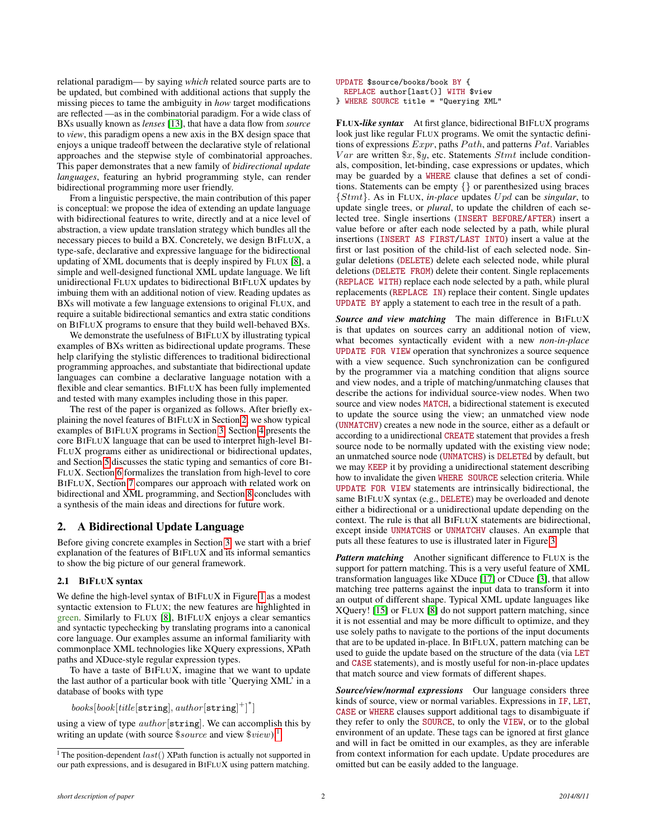relational paradigm— by saying *which* related source parts are to be updated, but combined with additional actions that supply the missing pieces to tame the ambiguity in *how* target modifications are reflected —as in the combinatorial paradigm. For a wide class of BXs usually known as *lenses* [\[13\]](#page-11-9), that have a data flow from *source* to *view*, this paradigm opens a new axis in the BX design space that enjoys a unique tradeoff between the declarative style of relational approaches and the stepwise style of combinatorial approaches. This paper demonstrates that a new family of *bidirectional update languages*, featuring an hybrid programming style, can render bidirectional programming more user friendly.

From a linguistic perspective, the main contribution of this paper is conceptual: we propose the idea of extending an update language with bidirectional features to write, directly and at a nice level of abstraction, a view update translation strategy which bundles all the necessary pieces to build a BX. Concretely, we design BIFLUX, a type-safe, declarative and expressive language for the bidirectional updating of XML documents that is deeply inspired by FLUX [\[8\]](#page-11-11), a simple and well-designed functional XML update language. We lift unidirectional FLUX updates to bidirectional BIFLUX updates by imbuing them with an additional notion of view. Reading updates as BXs will motivate a few language extensions to original FLUX, and require a suitable bidirectional semantics and extra static conditions on BIFLUX programs to ensure that they build well-behaved BXs.

We demonstrate the usefulness of BIFLUX by illustrating typical examples of BXs written as bidirectional update programs. These help clarifying the stylistic differences to traditional bidirectional programming approaches, and substantiate that bidirectional update languages can combine a declarative language notation with a flexible and clear semantics. BIFLUX has been fully implemented and tested with many examples including those in this paper.

The rest of the paper is organized as follows. After briefly explaining the novel features of BIFLUX in Section [2,](#page-1-0) we show typical examples of BIFLUX programs in Section [3.](#page-2-0) Section [4](#page-4-0) presents the core BIFLUX language that can be used to interpret high-level BI-FLUX programs either as unidirectional or bidirectional updates, and Section [5](#page-6-0) discusses the static typing and semantics of core BI-FLUX. Section [6](#page-9-0) formalizes the translation from high-level to core BIFLUX, Section [7](#page-10-0) compares our approach with related work on bidirectional and XML programming, and Section [8](#page-10-1) concludes with a synthesis of the main ideas and directions for future work.

# <span id="page-1-0"></span>2. A Bidirectional Update Language

Before giving concrete examples in Section [3,](#page-2-0) we start with a brief explanation of the features of BIFLUX and its informal semantics to show the big picture of our general framework.

# 2.1 BIFLUX syntax

We define the high-level syntax of BIFLUX in Figure [1](#page-2-1) as a modest syntactic extension to FLUX; the new features are highlighted in green. Similarly to FLUX [\[8\]](#page-11-11), BIFLUX enjoys a clear semantics and syntactic typechecking by translating programs into a canonical core language. Our examples assume an informal familiarity with commonplace XML technologies like XQuery expressions, XPath paths and XDuce-style regular expression types.

To have a taste of BIFLUX, imagine that we want to update the last author of a particular book with title 'Querying XML' in a database of books with type

 $books[book[title[string], author[string]^{+}]^{*}]$ 

using a view of type  $author[string]$ . We can accomplish this by writing an update (with source \$source and view \$view):<sup>[1](#page-1-1)</sup>

```
UPDATE $source/books/book BY {
 REPLACE author[last()] WITH $view
```

```
} WHERE SOURCE title = "Querying XML"
```
FLUX*-like syntax* At first glance, bidirectional BIFLUX programs look just like regular FLUX programs. We omit the syntactic definitions of expressions  $Expr$ , paths  $Path$ , and patterns  $Pat$ . Variables  $Var$  are written  $x, fy$ , etc. Statements  $Stmt$  include conditionals, composition, let-binding, case expressions or updates, which may be guarded by a WHERE clause that defines a set of conditions. Statements can be empty {} or parenthesized using braces {Stmt}. As in FLUX, *in-place* updates U pd can be *singular*, to update single trees, or *plural*, to update the children of each selected tree. Single insertions (INSERT BEFORE/AFTER) insert a value before or after each node selected by a path, while plural insertions (INSERT AS FIRST/LAST INTO) insert a value at the first or last position of the child-list of each selected node. Singular deletions (DELETE) delete each selected node, while plural deletions (DELETE FROM) delete their content. Single replacements (REPLACE WITH) replace each node selected by a path, while plural replacements (REPLACE IN) replace their content. Single updates UPDATE BY apply a statement to each tree in the result of a path.

*Source and view matching* The main difference in BIFLUX is that updates on sources carry an additional notion of view, what becomes syntactically evident with a new *non-in-place* UPDATE FOR VIEW operation that synchronizes a source sequence with a view sequence. Such synchronization can be configured by the programmer via a matching condition that aligns source and view nodes, and a triple of matching/unmatching clauses that describe the actions for individual source-view nodes. When two source and view nodes MATCH, a bidirectional statement is executed to update the source using the view; an unmatched view node (UNMATCHV) creates a new node in the source, either as a default or according to a unidirectional CREATE statement that provides a fresh source node to be normally updated with the existing view node; an unmatched source node (UNMATCHS) is DELETEd by default, but we may KEEP it by providing a unidirectional statement describing how to invalidate the given WHERE SOURCE selection criteria. While UPDATE FOR VIEW statements are intrinsically bidirectional, the same BIFLUX syntax (e.g., DELETE) may be overloaded and denote either a bidirectional or a unidirectional update depending on the context. The rule is that all BIFLUX statements are bidirectional, except inside UNMATCHS or UNMATCHV clauses. An example that puts all these features to use is illustrated later in Figure [3.](#page-3-0)

*Pattern matching* Another significant difference to FLUX is the support for pattern matching. This is a very useful feature of XML transformation languages like XDuce [\[17\]](#page-11-14) or CDuce [\[3\]](#page-11-15), that allow matching tree patterns against the input data to transform it into an output of different shape. Typical XML update languages like XQuery! [\[15\]](#page-11-12) or FLUX [\[8\]](#page-11-11) do not support pattern matching, since it is not essential and may be more difficult to optimize, and they use solely paths to navigate to the portions of the input documents that are to be updated in-place. In BIFLUX, pattern matching can be used to guide the update based on the structure of the data (via LET and CASE statements), and is mostly useful for non-in-place updates that match source and view formats of different shapes.

*Source/view/normal expressions* Our language considers three kinds of source, view or normal variables. Expressions in IF, LET, CASE or WHERE clauses support additional tags to disambiguate if they refer to only the SOURCE, to only the VIEW, or to the global environment of an update. These tags can be ignored at first glance and will in fact be omitted in our examples, as they are inferable from context information for each update. Update procedures are omitted but can be easily added to the language.

<span id="page-1-1"></span><sup>&</sup>lt;sup>1</sup> The position-dependent  $last()$  XPath function is actually not supported in our path expressions, and is desugared in BIFLUX using pattern matching.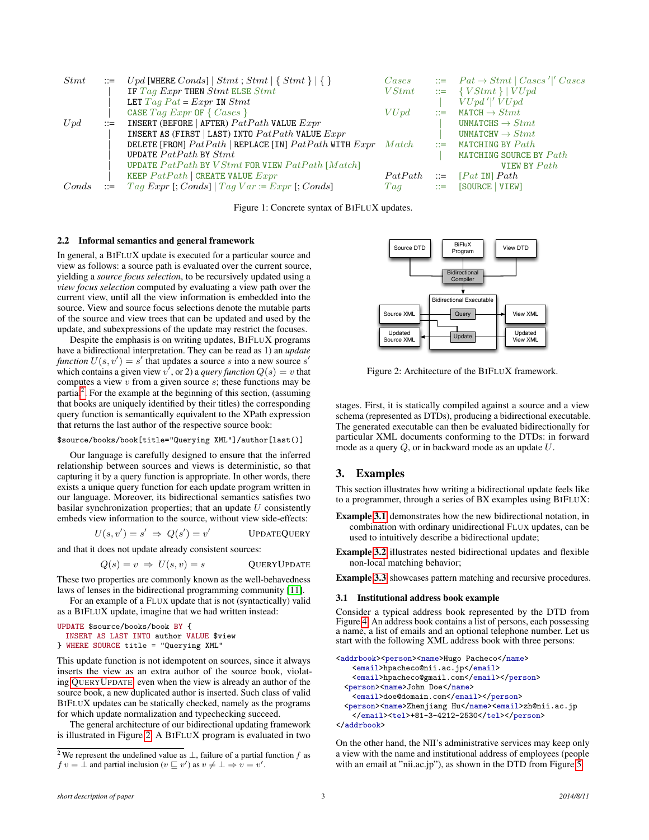<span id="page-2-1"></span>

| <i>Stmt</i> |                             | $\therefore$ Upd [WHERE Conds]   Stmt; Stmt   { Stmt }   { }         | $\mathit{Cases}$ | $\therefore$ Pat $\rightarrow$ Stmt   Cases ' ' Cases |
|-------------|-----------------------------|----------------------------------------------------------------------|------------------|-------------------------------------------------------|
|             |                             | IF $Tag$ $Expr$ THEN $Stmt$ ELSE $Stmt$                              | VStmt            | $\equiv \{ VStmt \}   VUpd$                           |
|             |                             | LET Tag $Pat = Expr$ IN $Stmt$                                       |                  | $VUpd'$  ' $VUpd$                                     |
|             |                             | CASE $Tag$ $Expr$ OF $\{ \text{ \textit{Cases} } \}$                 | VUpd             | $\therefore$ MATCH $\rightarrow$ Stmt                 |
| Upd         | $\mathbb{R}^2 = \mathbb{R}$ | INSERT (BEFORE   AFTER) $Path$ VALUE $Expr$                          |                  | UNMATCHS $\rightarrow S t m t$                        |
|             |                             | INSERT AS (FIRST   LAST) INTO $Path$ VALUE $Expr$                    |                  | UNMATCHV $\rightarrow S t m t$                        |
|             |                             | DELETE [FROM] $PatPath$   REPLACE [IN] $PatPath$ WITH $Expr$ $Match$ |                  | $\equiv$ MATCHING BY $Path$                           |
|             |                             | UPDATE $Path$ BY $Stmt$                                              |                  | MATCHING SOURCE BY Path                               |
|             |                             | UPDATE $Path$ BY $VStmt$ for view $PatPath$ [Match]                  |                  | VIEW BY $Path$                                        |
|             |                             | KEEP $Path$   CREATE VALUE $Expr$                                    | PatPath          | $\equiv$ [Pat IN] Path                                |
| Conds       | $\mathbb{R}^2 = \mathbb{R}$ | $Tag\; Expr$ [; Conds]   Tag Var := $Expr$ [; Conds]                 | Taq              | $ ::=$ [SOURCE   VIEW]                                |

Figure 1: Concrete syntax of BIFLUX updates.

## 2.2 Informal semantics and general framework

In general, a BIFLUX update is executed for a particular source and view as follows: a source path is evaluated over the current source, yielding a *source focus selection*, to be recursively updated using a *view focus selection* computed by evaluating a view path over the current view, until all the view information is embedded into the source. View and source focus selections denote the mutable parts of the source and view trees that can be updated and used by the update, and subexpressions of the update may restrict the focuses.

Despite the emphasis is on writing updates, BIFLUX programs have a bidirectional interpretation. They can be read as 1) an *update function*  $U(s, v') = s'$  that updates a source s into a new source s' which contains a given view  $v'$ , or 2) a *query function*  $Q(s) = v$  that computes a view  $v$  from a given source  $s$ ; these functions may be partial<sup>[2](#page-2-2)</sup>. For the example at the beginning of this section, (assuming that books are uniquely identified by their titles) the corresponding query function is semantically equivalent to the XPath expression that returns the last author of the respective source book:

#### \$source/books/book[title="Querying XML"]/author[last()]

Our language is carefully designed to ensure that the inferred relationship between sources and views is deterministic, so that capturing it by a query function is appropriate. In other words, there exists a unique query function for each update program written in our language. Moreover, its bidirectional semantics satisfies two basilar synchronization properties; that an update  $U$  consistently embeds view information to the source, without view side-effects:

$$
U(s, v') = s' \implies Q(s') = v'
$$
UPDATEQUENT

and that it does not update already consistent sources:

$$
Q(s) = v \Rightarrow U(s, v) = s
$$
 QUERVUPDATE

These two properties are commonly known as the well-behavedness laws of lenses in the bidirectional programming community [\[11\]](#page-11-0).

For an example of a FLUX update that is not (syntactically) valid as a BIFLUX update, imagine that we had written instead:

```
UPDATE $source/books/book BY {
 INSERT AS LAST INTO author VALUE $view
} WHERE SOURCE title = "Querying XML"
```
This update function is not idempotent on sources, since it always inserts the view as an extra author of the source book, violating QUERYU[PDATE](#page-2-3): even when the view is already an author of the source book, a new duplicated author is inserted. Such class of valid BIFLUX updates can be statically checked, namely as the programs for which update normalization and typechecking succeed.

The general architecture of our bidirectional updating framework is illustrated in Figure [2.](#page-2-4) A BIFLUX program is evaluated in two

<span id="page-2-4"></span>

Figure 2: Architecture of the BIFLUX framework.

stages. First, it is statically compiled against a source and a view schema (represented as DTDs), producing a bidirectional executable. The generated executable can then be evaluated bidirectionally for particular XML documents conforming to the DTDs: in forward mode as a query  $Q$ , or in backward mode as an update  $U$ .

# <span id="page-2-0"></span>3. Examples

This section illustrates how writing a bidirectional update feels like to a programmer, through a series of BX examples using BIFLUX:

- <span id="page-2-6"></span>Example [3.1](#page-2-5) demonstrates how the new bidirectional notation, in combination with ordinary unidirectional FLUX updates, can be used to intuitively describe a bidirectional update;
- <span id="page-2-3"></span>Example [3.2](#page-3-1) illustrates nested bidirectional updates and flexible non-local matching behavior;

Example [3.3](#page-3-2) showcases pattern matching and recursive procedures.

#### <span id="page-2-5"></span>3.1 Institutional address book example

Consider a typical address book represented by the DTD from Figure [4.](#page-3-0) An address book contains a list of persons, each possessing a name, a list of emails and an optional telephone number. Let us start with the following XML address book with three persons:

```
<addrbook><person><name>Hugo Pacheco</name>
   <email>hpacheco@nii.ac.jp</email>
   <email>hpacheco@gmail.com</email></person>
 <person><name>John Doe</name>
   <email>doe@domain.com</email></person>
 <person><name>Zhenjiang Hu</name><email>zh@nii.ac.jp
   </email><tel>+81-3-4212-2530</tel></person>
</addrbook>
```
On the other hand, the NII's administrative services may keep only a view with the name and institutional address of employees (people with an email at "nii.ac.jp"), as shown in the DTD from Figure [5.](#page-3-3)

<span id="page-2-2"></span><sup>&</sup>lt;sup>2</sup> We represent the undefined value as  $\perp$ , failure of a partial function f as  $f v = \hat{\perp}$  and partial inclusion  $(v \sqsubseteq v')$  as  $v \neq \perp \Rightarrow v = v'$ .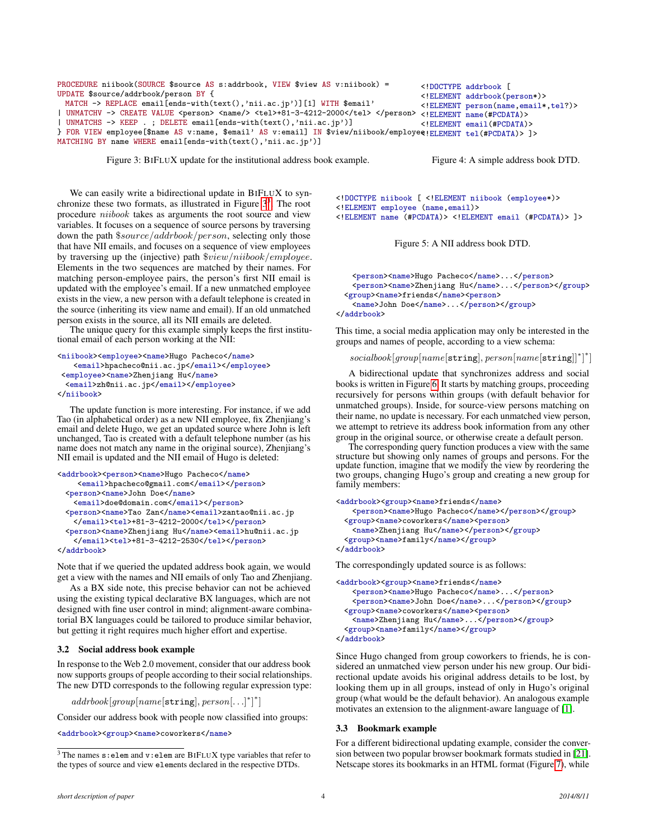```
PROCEDURE niibook(SOURCE $source AS s:addrbook, VIEW $view AS v:niibook) =
UPDATE $source/addrbook/person BY {
 MATCH -> REPLACE email [ends-with(text(),'nii.ac.jp')][1] WITH $email'
| UNMATCHV -> CREATE VALUE <person> <name/> <tel>+81-3-4212-2000</tel> </person> <!ELEMENT name(#PCDATA)>
| UNMATCHS -> KEEP . ; DELETE email[ends-with(text(),'nii.ac.jp')]
} FOR VIEW employee[$name AS v:name, $email' AS v:email] IN $view/niibook/employee
<!ELEMENT tel(#PCDATA)> ]>
                                                                                  <!DOCTYPE addrbook [
                                                                                  <!ELEMENT addrbook(person*)>
                                                                                  <!ELEMENT person(name,email*,tel?)>
                                                                                  <!ELEMENT email(#PCDATA)>
```
MATCHING BY name WHERE email[ends-with(text(),'nii.ac.jp')]

Figure 3: BIFLUX update for the institutional address book example.

Figure 4: A simple address book DTD.

We can easily write a bidirectional update in BIFLUX to synchronize these two formats, as illustrated in Figure  $3<sup>3</sup>$  $3<sup>3</sup>$ . The root procedure niibook takes as arguments the root source and view variables. It focuses on a sequence of source persons by traversing down the path \$source/addrbook/person, selecting only those that have NII emails, and focuses on a sequence of view employees by traversing up the (injective) path \$view/niibook/employee. Elements in the two sequences are matched by their names. For matching person-employee pairs, the person's first NII email is updated with the employee's email. If a new unmatched employee exists in the view, a new person with a default telephone is created in the source (inheriting its view name and email). If an old unmatched person exists in the source, all its NII emails are deleted.

The unique query for this example simply keeps the first institutional email of each person working at the NII:

```
<niibook><employee><name>Hugo Pacheco</name>
   <email>hpacheco@nii.ac.jp</email></employee>
<employee><name>Zhenjiang Hu</name>
 <email>zh@nii.ac.jp</email></employee>
</niibook>
```
The update function is more interesting. For instance, if we add Tao (in alphabetical order) as a new NII employee, fix Zhenjiang's email and delete Hugo, we get an updated source where John is left unchanged, Tao is created with a default telephone number (as his name does not match any name in the original source), Zhenjiang's NII email is updated and the NII email of Hugo is deleted:

```
<addrbook><person><name>Hugo Pacheco</name>
    <email>hpacheco@gmail.com</email></person>
 <person><name>John Doe</name>
   <email>doe@domain.com</email></person>
 <person><name>Tao Zan</name><email>zantao@nii.ac.jp
   </email><tel>+81-3-4212-2000</tel></person>
 <person><name>Zhenjiang Hu</name><email>hu@nii.ac.jp
   </email><tel>+81-3-4212-2530</tel></person>
</addrbook>
```
Note that if we queried the updated address book again, we would get a view with the names and NII emails of only Tao and Zhenjiang.

As a BX side note, this precise behavior can not be achieved using the existing typical declarative BX languages, which are not designed with fine user control in mind; alignment-aware combinatorial BX languages could be tailored to produce similar behavior, but getting it right requires much higher effort and expertise.

## <span id="page-3-1"></span>3.2 Social address book example

In response to the Web 2.0 movement, consider that our address book now supports groups of people according to their social relationships. The new DTD corresponds to the following regular expression type:

 $addrbook[group[name[string], person[...]^*]^*]$ 

Consider our address book with people now classified into groups:

<addrbook><group><name>coworkers</name>

<span id="page-3-3"></span><!DOCTYPE niibook [ <!ELEMENT niibook (employee\*)> <!ELEMENT employee (name,email)> <!ELEMENT name (#PCDATA)> <!ELEMENT email (#PCDATA)> ]>

Figure 5: A NII address book DTD.

```
<person><name>Hugo Pacheco</name>...</person>
   <person><name>Zhenjiang Hu</name>...</person></group>
 <group><name>friends</name><person>
   <name>John Doe</name>...</person></group>
</addrbook>
```
This time, a social media application may only be interested in the groups and names of people, according to a view schema:

socialbook[group[name[string], person[name[string]]\*]\*]

A bidirectional update that synchronizes address and social books is written in Figure [6.](#page-4-1) It starts by matching groups, proceeding recursively for persons within groups (with default behavior for unmatched groups). Inside, for source-view persons matching on their name, no update is necessary. For each unmatched view person, we attempt to retrieve its address book information from any other group in the original source, or otherwise create a default person.

The corresponding query function produces a view with the same structure but showing only names of groups and persons. For the update function, imagine that we modify the view by reordering the two groups, changing Hugo's group and creating a new group for family members:

```
<addrbook><group><name>friends</name>
   <person><name>Hugo Pacheco</name></person></group>
 <group><name>coworkers</name><person>
   <name>Zhenjiang Hu</name></person></group>
 <group><name>family</name></group>
</addrbook>
```
The correspondingly updated source is as follows:

```
<addrbook><group><name>friends</name>
   <person><name>Hugo Pacheco</name>...</person>
   <person><name>John Doe</name>...</person></group>
 <group><name>coworkers</name><person>
   <name>Zhenjiang Hu</name>...</person></group>
 <group><name>family</name></group>
</addrbook>
```
Since Hugo changed from group coworkers to friends, he is considered an unmatched view person under his new group. Our bidirectional update avoids his original address details to be lost, by looking them up in all groups, instead of only in Hugo's original group (what would be the default behavior). An analogous example motivates an extension to the alignment-aware language of [\[1\]](#page-11-16).

#### <span id="page-3-2"></span>3.3 Bookmark example

For a different bidirectional updating example, consider the conversion between two popular browser bookmark formats studied in [\[21\]](#page-11-5). Netscape stores its bookmarks in an HTML format (Figure [7\)](#page-4-1), while

<span id="page-3-4"></span> $3$  The names  $s:$  elem and  $v:$  elem are BIFLUX type variables that refer to the types of source and view elements declared in the respective DTDs.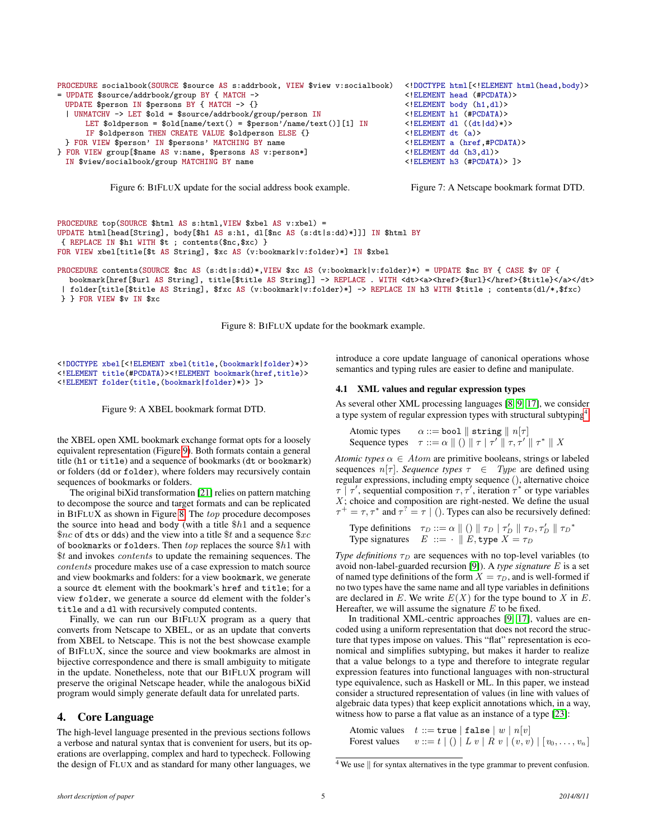```
PROCEDURE socialbook(SOURCE $source AS s:addrbook, VIEW $view v:socialbook)
= UPDATE $source/addrbook/group BY { MATCH ->
 UPDATE $person IN $persons BY { MATCH -> {}
  | UNMATCHV -> LET $old = $source/addrbook/group/person IN
      LET $oldperson = \deltaold[name/text() = \deltaperson'/name/text()][1] IN
      IF $oldperson THEN CREATE VALUE $oldperson ELSE {}
 } FOR VIEW $person' IN $persons' MATCHING BY name
} FOR VIEW group[$name AS v:name, $persons AS v:person*]
 IN $view/socialbook/group MATCHING BY name
```
<!DOCTYPE html[<!ELEMENT html(head,body)> <!ELEMENT head (#PCDATA)> <!ELEMENT body (h1,dl)> <!ELEMENT h1 (#PCDATA)>  $\langle$ !ELEMENT dl  $((dt|dd)*($ <!ELEMENT dt (a)> <!ELEMENT a (href,#PCDATA)> <!ELEMENT dd (h3,dl)> <!ELEMENT h3 (#PCDATA)> ]>

Figure 6: BIFLUX update for the social address book example.

```
Figure 7: A Netscape bookmark format DTD.
```

```
PROCEDURE top(SOURCE $html AS s:html,VIEW $xbel AS v:xbel) =
UPDATE html[head[String], body[$h1 AS s:h1, dl[$nc AS (s:dt|s:dd)*]]] IN $html BY
{ REPLACE IN $h1 WITH $t ; contents($nc,$xc) }
FOR VIEW xbel[title[$t AS String], $xc AS (v:bookmark|v:folder)*] IN $xbel
```

```
PROCEDURE contents(SOURCE $nc AS (s:dt|s:dd)*,VIEW $xc AS (v:bookmark|v:folder)*) = UPDATE $nc BY { CASE $v OF {
  bookmark[href]$url AS String], title[$title AS String]] -> REPLACE . WITH <dt><a><href>{$url}</href>{$title}</a></dt>
 | folder[title[$title AS String], $fxc AS (v:bookmark|v:folder)*] -> REPLACE IN h3 WITH $title ; contents(dl/*,$fxc)
} } FOR VIEW $v IN $xc
```
Figure 8: BIFLUX update for the bookmark example.

<span id="page-4-2"></span><!DOCTYPE xbel[<!ELEMENT xbel(title,(bookmark|folder)\*)> <!ELEMENT title(#PCDATA)><!ELEMENT bookmark(href,title)> <!ELEMENT folder(title,(bookmark|folder)\*)> ]>

Figure 9: A XBEL bookmark format DTD.

the XBEL open XML bookmark exchange format opts for a loosely equivalent representation (Figure [9\)](#page-4-2). Both formats contain a general title (h1 or title) and a sequence of bookmarks (dt or bookmark) or folders (dd or folder), where folders may recursively contain sequences of bookmarks or folders.

The original biXid transformation [\[21\]](#page-11-5) relies on pattern matching to decompose the source and target formats and can be replicated in BIFLUX as shown in Figure [8.](#page-4-3) The top procedure decomposes the source into head and body (with a title  $$h1$  and a sequence  $\text{\$nc}$  of dts or dds) and the view into a title  $\text{\$t}$  and a sequence  $\text{\$xc}$ of bookmarks or folders. Then  $top$  replaces the source  $$h1$  with \$t and invokes contents to update the remaining sequences. The contents procedure makes use of a case expression to match source and view bookmarks and folders: for a view bookmark, we generate a source dt element with the bookmark's href and title; for a view folder, we generate a source dd element with the folder's title and a dl with recursively computed contents.

Finally, we can run our BIFLUX program as a query that converts from Netscape to XBEL, or as an update that converts from XBEL to Netscape. This is not the best showcase example of BIFLUX, since the source and view bookmarks are almost in bijective correspondence and there is small ambiguity to mitigate in the update. Nonetheless, note that our BIFLUX program will preserve the original Netscape header, while the analogous biXid program would simply generate default data for unrelated parts.

# <span id="page-4-0"></span>4. Core Language

The high-level language presented in the previous sections follows a verbose and natural syntax that is convenient for users, but its operations are overlapping, complex and hard to typecheck. Following the design of FLUX and as standard for many other languages, we introduce a core update language of canonical operations whose semantics and typing rules are easier to define and manipulate.

#### 4.1 XML values and regular expression types

As several other XML processing languages [\[8,](#page-11-11) [9,](#page-11-17) [17\]](#page-11-14), we consider a type system of regular expression types with structural subtyping<sup>[4](#page-4-4)</sup>:

Atomic types 
$$
\alpha ::= \text{bool} \parallel \text{string} \parallel n[\tau]
$$
  
Sequence types  $\tau ::= \alpha \parallel () \parallel \tau \mid \tau' \parallel \tau, \tau' \parallel \tau^* \parallel X$ 

*Atomic types*  $\alpha \in Atom$  are primitive booleans, strings or labeled sequences  $n[\tau]$ . *Sequence types*  $\tau \in Type$  are defined using regular expressions, including empty sequence (), alternative choice  $\tau$  |  $\tau'$ , sequential composition  $\tau, \tau'$ , iteration  $\tau^*$  or type variables  $X$ ; choice and composition are right-nested. We define the usual  $\tau^+ = \tau, \tau^*$  and  $\tau^? = \tau \mid ($ ). Types can also be recursively defined:

Type definitions 
$$
\tau_D ::= \alpha || () || \tau_D | \tau'_D || \tau_D, \tau'_D || \tau_D^*
$$
  
Type signatures  $E ::= \cdot || E, \text{type } X = \tau_D$ 

*Type definitions*  $\tau_D$  are sequences with no top-level variables (to avoid non-label-guarded recursion [\[9\]](#page-11-17)). A *type signature* E is a set of named type definitions of the form  $X = \tau_D$ , and is well-formed if no two types have the same name and all type variables in definitions are declared in E. We write  $E(X)$  for the type bound to X in E. Hereafter, we will assume the signature  $E$  to be fixed.

In traditional XML-centric approaches [\[9,](#page-11-17) [17\]](#page-11-14), values are encoded using a uniform representation that does not record the structure that types impose on values. This "flat" representation is economical and simplifies subtyping, but makes it harder to realize that a value belongs to a type and therefore to integrate regular expression features into functional languages with non-structural type equivalence, such as Haskell or ML. In this paper, we instead consider a structured representation of values (in line with values of algebraic data types) that keep explicit annotations which, in a way, witness how to parse a flat value as an instance of a type [\[23\]](#page-11-18):

```
Atomic values t ::= true | false | w | n[v]Forest values v ::= t | () | L v | R v | (v, v) | [v_0, \ldots, v_n]
```
<span id="page-4-4"></span> $4$  We use  $\parallel$  for syntax alternatives in the type grammar to prevent confusion.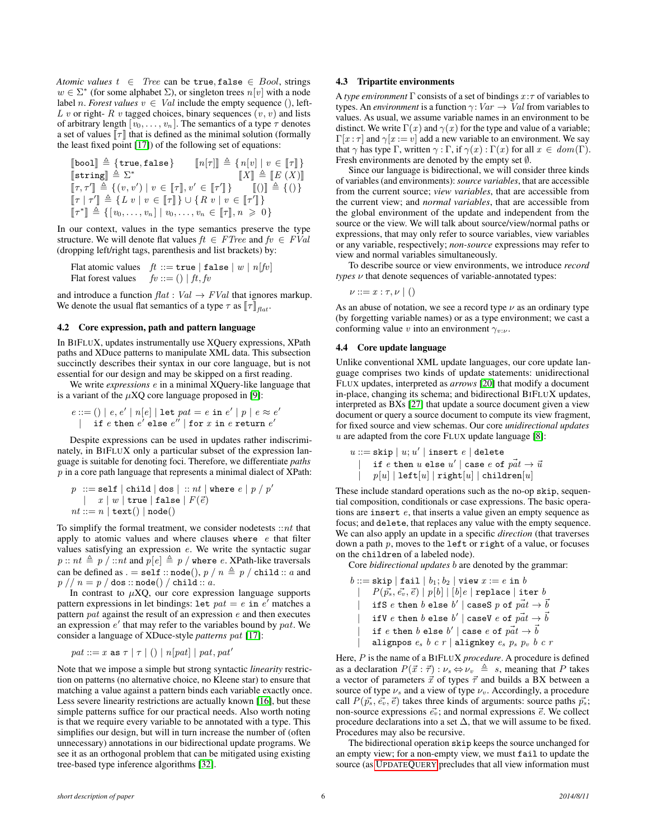*Atomic values*  $t \in Tree$  can be true, false  $\in Bool$ , strings  $w \in \Sigma^*$  (for some alphabet  $\Sigma$ ), or singleton trees  $n[v]$  with a node label *n*. *Forest values*  $v \in Val$  include the empty sequence (), left-L v or right- R v tagged choices, binary sequences  $(v, v)$  and lists of arbitrary length  $[v_0, \ldots, v_n]$ . The semantics of a type  $\tau$  denotes a set of values  $\llbracket \tau \rrbracket$  that is defined as the minimal solution (formally the least fixed point [\[17\]](#page-11-14)) of the following set of equations:

$$
\begin{array}{ll}\n\text{[bool]} \triangleq \{\text{true}, \text{false}\} & \quad \llbracket n[\tau] \rrbracket \triangleq \{n[v] \mid v \in \llbracket \tau \rrbracket\} \\
\text{[string]} \triangleq \Sigma^* & \quad \llbracket X \rrbracket \triangleq \llbracket E(X) \rrbracket \\
\llbracket \tau, \tau' \rrbracket \triangleq \{(v, v') \mid v \in \llbracket \tau \rrbracket, v' \in \llbracket \tau' \rrbracket\} & \quad \llbracket () \rrbracket \\
\llbracket \tau \rrbracket \uparrow' \parallel \triangleq \{L \mid v \mid v \in \llbracket \tau \rrbracket\} \cup \{R \mid v \mid v \in \llbracket \tau' \rrbracket\} \\
\llbracket \tau^* \rrbracket \triangleq \{(v_0, \ldots, v_n) \mid v_0, \ldots, v_n \in \llbracket \tau \rrbracket, n \geqslant 0\}\n\end{array}
$$

In our context, values in the type semantics preserve the type structure. We will denote flat values  $ft \in FTree$  and  $fv \in FVal$ (dropping left/right tags, parenthesis and list brackets) by:

Flat atomic values  $ft ::= \texttt{true} | \texttt{false} | w | n[fv]$ <br>Flat forest values  $fv ::= () | ft, fv$  $fv ::= () | ft, fv$ 

and introduce a function  $flat : Val \rightarrow FVal$  that ignores markup. We denote the usual flat semantics of a type  $\tau$  as  $\|\tau\|_{\text{flat}}$ .

## 4.2 Core expression, path and pattern language

In BIFLUX, updates instrumentally use XQuery expressions, XPath paths and XDuce patterns to manipulate XML data. This subsection succinctly describes their syntax in our core language, but is not essential for our design and may be skipped on a first reading.

We write *expressions* e in a minimal XQuery-like language that is a variant of the  $\mu$ XQ core language proposed in [\[9\]](#page-11-17):

$$
e ::= () | e, e' | n[e] | \text{let } pat = e \text{ in } e' | p | e \approx e'
$$
  
if e then e' else e" | for x in e return e'

Despite expressions can be used in updates rather indiscriminately, in BIFLUX only a particular subset of the expression language is suitable for denoting foci. Therefore, we differentiate *paths*  $p$  in a core path language that represents a minimal dialect of XPath:

$$
p ::= \texttt{self} \mid \texttt{child} \mid \texttt{dos} \mid :: nt \mid \texttt{where} \ e \mid p \nmid p'
$$
\n
$$
\mid x \mid w \mid \texttt{true} \mid \texttt{false} \mid F(\vec{e})
$$
\n
$$
nt ::= n \mid \texttt{text}() \mid \texttt{node}()
$$

To simplify the formal treatment, we consider nodetests  $::nt$  that apply to atomic values and where clauses where  $e$  that filter values satisfying an expression e. We write the syntactic sugar  $p:: nt \triangleq p / ::nt$  and  $p[e] \triangleq p /$  where e. XPath-like traversals can be defined as . = self :: node(),  $p / n \triangleq p / \text{child} :: a$  and  $p // n = p / \text{dos} :: \text{node}() / \text{child} :: a.$ 

In contrast to  $\mu XQ$ , our core expression language supports pattern expressions in let bindings:  $let$   $pat = e$  in  $e'$  matches a pattern pat against the result of an expression e and then executes an expression  $e'$  that may refer to the variables bound by pat. We consider a language of XDuce-style *patterns* pat [\[17\]](#page-11-14):

$$
pat ::= x \text{ as } \tau \mid \tau \mid () \mid n[pat] \mid pat, pat'
$$

Note that we impose a simple but strong syntactic *linearity* restriction on patterns (no alternative choice, no Kleene star) to ensure that matching a value against a pattern binds each variable exactly once. Less severe linearity restrictions are actually known [\[16\]](#page-11-19), but these simple patterns suffice for our practical needs. Also worth noting is that we require every variable to be annotated with a type. This simplifies our design, but will in turn increase the number of (often unnecessary) annotations in our bidirectional update programs. We see it as an orthogonal problem that can be mitigated using existing tree-based type inference algorithms [\[32\]](#page-11-20).

## 4.3 Tripartite environments

A *type environment*  $\Gamma$  consists of a set of bindings  $x:\tau$  of variables to types. An *environment* is a function  $\gamma:Var \to Val$  from variables to values. As usual, we assume variable names in an environment to be distinct. We write  $\Gamma(x)$  and  $\gamma(x)$  for the type and value of a variable;  $\Gamma[x:\tau]$  and  $\gamma[x:=v]$  add a new variable to an environment. We say that  $\gamma$  has type  $\Gamma$ , written  $\gamma : \Gamma$ , if  $\gamma(x) : \Gamma(x)$  for all  $x \in dom(\Gamma)$ . Fresh environments are denoted by the empty set ∅.

Since our language is bidirectional, we will consider three kinds of variables (and environments): *source variables*, that are accessible from the current source; *view variables*, that are accessible from the current view; and *normal variables*, that are accessible from the global environment of the update and independent from the source or the view. We will talk about source/view/normal paths or expressions, that may only refer to source variables, view variables or any variable, respectively; *non-source* expressions may refer to view and normal variables simultaneously.

To describe source or view environments, we introduce *record types* ν that denote sequences of variable-annotated types:

 $\nu ::= x : \tau, \nu \mid ()$ 

As an abuse of notation, we see a record type  $\nu$  as an ordinary type (by forgetting variable names) or as a type environment; we cast a conforming value v into an environment  $\gamma_{v:\nu}$ .

## 4.4 Core update language

Unlike conventional XML update languages, our core update language comprises two kinds of update statements: unidirectional FLUX updates, interpreted as *arrows* [\[20\]](#page-11-21) that modify a document in-place, changing its schema; and bidirectional BIFLUX updates, interpreted as BXs [\[27\]](#page-11-10) that update a source document given a view document or query a source document to compute its view fragment, for fixed source and view schemas. Our core *unidirectional updates*  $u$  are adapted from the core FLUX update language [\[8\]](#page-11-11):

$$
\begin{array}{ll} u ::= \texttt{skip} \mid u; u' \mid \texttt{insert}\ e\ \vert\ \texttt{delete} \\ & \mid \quad \texttt{if}\ e\ \texttt{then}\ u\ \texttt{else}\ u' \mid \texttt{case}\ e\ \texttt{of}\ \textit{pat} \rightarrow \textit{u} \\ & \mid \quad p[u] \mid \texttt{left}[u] \mid \texttt{right}[u] \mid \texttt{children}[u] \end{array}
$$

These include standard operations such as the no-op skip, sequential composition, conditionals or case expressions. The basic operations are insert e, that inserts a value given an empty sequence as focus; and delete, that replaces any value with the empty sequence. We can also apply an update in a specific *direction* (that traverses down a path  $p$ , moves to the left or right of a value, or focuses on the children of a labeled node).

Core *bidirectional updates* b are denoted by the grammar:

$$
\begin{array}{ll} b::=\text{skip} \mid \text{fail} \mid b_1; b_2 \mid \text{view} \ x := e \text{ in } b \\ & \mid \quad P(\vec{p_s}, \vec{e_v}, \vec{e}) \mid p[b] \mid [b] e \mid \text{replace} \mid \text{iter } b \\ & \mid \quad \text{if } S \; e \text{ then } b \text{ else } b' \mid \text{case } S \; p \text{ of } \vec{pat} \rightarrow \vec{b} \\ & \mid \quad \text{if } V \; e \text{ then } b \text{ else } b' \mid \text{case } e \text{ of } \vec{pat} \rightarrow \vec{b} \\ & \mid \quad \text{if } e \text{ then } b \text{ else } b' \mid \text{case } e \text{ of } \vec{pat} \rightarrow \vec{b} \\ & \mid \quad \text{alignpos } e_s \; b \; c \; r \mid \text{alignkey } e_s \; p_s \; p_v \; b \; c \; r \end{array}
$$

Here, P is the name of a BIFLUX *procedure*. A procedure is defined as a declaration  $P(\vec{x} : \vec{\tau}) : \nu_s \Leftrightarrow \nu_v \triangleq s$ , meaning that P takes a vector of parameters  $\vec{x}$  of types  $\vec{\tau}$  and builds a BX between a source of type  $\nu_s$  and a view of type  $\nu_v$ . Accordingly, a procedure call  $P(\vec{p}_s, \vec{e_v}, \vec{e})$  takes three kinds of arguments: source paths  $\vec{p}_s$ ; non-source expressions  $\vec{e_v}$ ; and normal expressions  $\vec{e}$ . We collect procedure declarations into a set  $\Delta$ , that we will assume to be fixed. Procedures may also be recursive.

The bidirectional operation skip keeps the source unchanged for an empty view; for a non-empty view, we must fail to update the source (as U[PDATE](#page-2-6)QUERY precludes that all view information must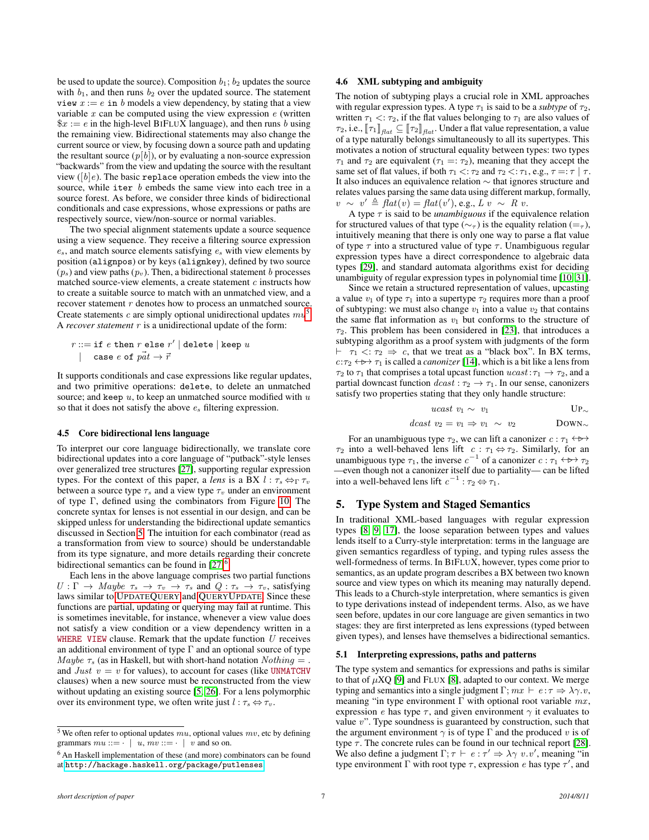be used to update the source). Composition  $b_1$ ;  $b_2$  updates the source with  $b_1$ , and then runs  $b_2$  over the updated source. The statement view  $x := e$  in b models a view dependency, by stating that a view variable  $x$  can be computed using the view expression  $e$  (written  $x := e$  in the high-level BIFLUX language), and then runs b using the remaining view. Bidirectional statements may also change the current source or view, by focusing down a source path and updating the resultant source  $(p[b])$ , or by evaluating a non-source expression "backwards" from the view and updating the source with the resultant view ( $[b]e$ ). The basic replace operation embeds the view into the source, while iter b embeds the same view into each tree in a source forest. As before, we consider three kinds of bidirectional conditionals and case expressions, whose expressions or paths are respectively source, view/non-source or normal variables.

The two special alignment statements update a source sequence using a view sequence. They receive a filtering source expression  $e_s$ , and match source elements satisfying  $e_s$  with view elements by position (alignpos) or by keys (alignkey), defined by two source  $(p_s)$  and view paths  $(p_v)$ . Then, a bidirectional statement b processes matched source-view elements, a create statement  $c$  instructs how to create a suitable source to match with an unmatched view, and a recover statement  $r$  denotes how to process an unmatched source. Create statements c are simply optional unidirectional updates  $mu<sup>5</sup>$  $mu<sup>5</sup>$  $mu<sup>5</sup>$ . A *recover statement* r is a unidirectional update of the form:

$$
r ::= \texttt{if } e \texttt{ then } r \texttt{ else } r' \mid \texttt{delete} \mid \texttt{keep } u \\ \mid \texttt{ case } e \texttt{ of } p\vec{at} \rightarrow \vec{r}
$$

It supports conditionals and case expressions like regular updates, and two primitive operations: delete, to delete an unmatched source; and keep  $u$ , to keep an unmatched source modified with  $u$ so that it does not satisfy the above  $e_s$  filtering expression.

#### 4.5 Core bidirectional lens language

To interpret our core language bidirectionally, we translate core bidirectional updates into a core language of "putback"-style lenses over generalized tree structures [\[27\]](#page-11-10), supporting regular expression types. For the context of this paper, a *lens* is a BX  $l : \tau_s \Leftrightarrow_{\Gamma} \tau_v$ between a source type  $\tau_s$  and a view type  $\tau_v$  under an environment of type Γ, defined using the combinators from Figure [10.](#page-7-0) The concrete syntax for lenses is not essential in our design, and can be skipped unless for understanding the bidirectional update semantics discussed in Section [5.](#page-6-0) The intuition for each combinator (read as a transformation from view to source) should be understandable from its type signature, and more details regarding their concrete bidirectional semantics can be found in  $[27]^{6}$  $[27]^{6}$  $[27]^{6}$  $[27]^{6}$ .

Each lens in the above language comprises two partial functions  $U : \Gamma \to \text{Map}$   $\tau_s \to \tau_v \to \tau_s$  and  $Q : \tau_s \to \tau_v$ , satisfying laws similar to U[PDATE](#page-2-6)QUERY and QUERYU[PDATE](#page-2-3). Since these functions are partial, updating or querying may fail at runtime. This is sometimes inevitable, for instance, whenever a view value does not satisfy a view condition or a view dependency written in a WHERE VIEW clause. Remark that the update function  $U$  receives an additional environment of type  $\Gamma$  and an optional source of type Maybe  $\tau_s$  (as in Haskell, but with short-hand notation  $Nothing =$ . and Just  $v = v$  for values), to account for cases (like UNMATCHV clauses) when a new source must be reconstructed from the view without updating an existing source [\[5,](#page-11-22) [26\]](#page-11-23). For a lens polymorphic over its environment type, we often write just  $l : \tau_s \Leftrightarrow \tau_v$ .

# 4.6 XML subtyping and ambiguity

The notion of subtyping plays a crucial role in XML approaches with regular expression types. A type  $\tau_1$  is said to be a *subtype* of  $\tau_2$ , written  $\tau_1 < \tau_2$ , if the flat values belonging to  $\tau_1$  are also values of  $\tau_2$ , i.e.,  $\llbracket \tau_1 \rrbracket_{\text{flat}} \subseteq \llbracket \tau_2 \rrbracket_{\text{flat}}$ . Under a flat value representation, a value of a type naturally belongs simultaneously to all its supertypes. This motivates a notion of structural equality between types: two types  $\tau_1$  and  $\tau_2$  are equivalent ( $\tau_1 =: \tau_2$ ), meaning that they accept the same set of flat values, if both  $\tau_1 < \tau_2$  and  $\tau_2 < \tau_1$ , e.g.,  $\tau = \tau \mid \tau$ . It also induces an equivalence relation ∼ that ignores structure and relates values parsing the same data using different markup, formally,  $v \sim v' \triangleq \hat{flat}(v) = \hat{flat}(v')$ , e.g.,  $Lv \sim R v$ .

A type  $\tau$  is said to be *unambiguous* if the equivalence relation for structured values of that type ( $\sim_{\tau}$ ) is the equality relation (= $_{\tau}$ ), intuitively meaning that there is only one way to parse a flat value of type  $\tau$  into a structured value of type  $\tau$ . Unambiguous regular expression types have a direct correspondence to algebraic data types [\[29\]](#page-11-24), and standard automata algorithms exist for deciding unambiguity of regular expression types in polynomial time [\[10,](#page-11-25) [31\]](#page-11-26).

Since we retain a structured representation of values, upcasting a value  $v_1$  of type  $\tau_1$  into a supertype  $\tau_2$  requires more than a proof of subtyping: we must also change  $v_1$  into a value  $v_2$  that contains the same flat information as  $v_1$  but conforms to the structure of  $\tau_2$ . This problem has been considered in [\[23\]](#page-11-18), that introduces a subtyping algorithm as a proof system with judgments of the form  $\vdash \tau_1 \langle \tau_2 \Rightarrow c$ , that we treat as a "black box". In BX terms,  $c:\tau_2 \leftrightarrow \tau_1$  is called a *canonizer* [\[14\]](#page-11-3), which is a bit like a lens from  $\tau_2$  to  $\tau_1$  that comprises a total upcast function  $ucast : \tau_1 \to \tau_2$ , and a partial downcast function  $deast : \tau_2 \to \tau_1$ . In our sense, canonizers satisfy two properties stating that they only handle structure:

$$
ucast \, v_1 \sim \, v_1 \qquad \qquad \text{UP}_\sim
$$

$$
dcast \ v_2 = v_1 \Rightarrow v_1 \sim v_2
$$

For an unambiguous type  $\tau_2$ , we can lift a canonizer  $c : \tau_1 \leftrightarrow \rightarrow$ .  $\tau_2$  into a well-behaved lens lift  $c : \tau_1 \Leftrightarrow \tau_2$ . Similarly, for an unambiguous type  $\tau_1$ , the inverse  $c^{-1}$  of a canonizer  $c : \tau_1 \leftrightarrow \tau_2$ —even though not a canonizer itself due to partiality— can be lifted into a well-behaved lens lift  $c^{-1}$ :  $\tau_2 \leftrightarrow \tau_1$ .

## <span id="page-6-0"></span>5. Type System and Staged Semantics

In traditional XML-based languages with regular expression types [\[8,](#page-11-11) [9,](#page-11-17) [17\]](#page-11-14), the loose separation between types and values lends itself to a Curry-style interpretation: terms in the language are given semantics regardless of typing, and typing rules assess the well-formedness of terms. In BIFLUX, however, types come prior to semantics, as an update program describes a BX between two known source and view types on which its meaning may naturally depend. This leads to a Church-style interpretation, where semantics is given to type derivations instead of independent terms. Also, as we have seen before, updates in our core language are given semantics in two stages: they are first interpreted as lens expressions (typed between given types), and lenses have themselves a bidirectional semantics.

#### 5.1 Interpreting expressions, paths and patterns

The type system and semantics for expressions and paths is similar to that of  $\mu XQ$  [\[9\]](#page-11-17) and FLUX [\[8\]](#page-11-11), adapted to our context. We merge typing and semantics into a single judgment  $\Gamma$ ;  $mx \vdash e : \tau \Rightarrow \lambda \gamma \ldotp v$ , meaning "in type environment  $\Gamma$  with optional root variable  $mx$ , expression e has type  $\tau$ , and given environment  $\gamma$  it evaluates to value  $v$ ". Type soundness is guaranteed by construction, such that the argument environment  $\gamma$  is of type  $\Gamma$  and the produced v is of type  $\tau$ . The concrete rules can be found in our technical report [\[28\]](#page-11-27). We also define a judgment  $\Gamma; \tau \vdash e : \tau' \Rightarrow \lambda \gamma \ v.v'$ , meaning "in type environment  $\Gamma$  with root type  $\tau$ , expression e has type  $\tau'$ , and

<span id="page-6-1"></span><sup>&</sup>lt;sup>5</sup> We often refer to optional updates  $mu$ , optional values  $mv$ , etc by defining grammars  $mu ::= \cdot \mid u, mv ::= \cdot \mid v$  and so on.

<span id="page-6-2"></span><sup>6</sup> An Haskell implementation of these (and more) combinators can be found at <http://hackage.haskell.org/package/putlenses>.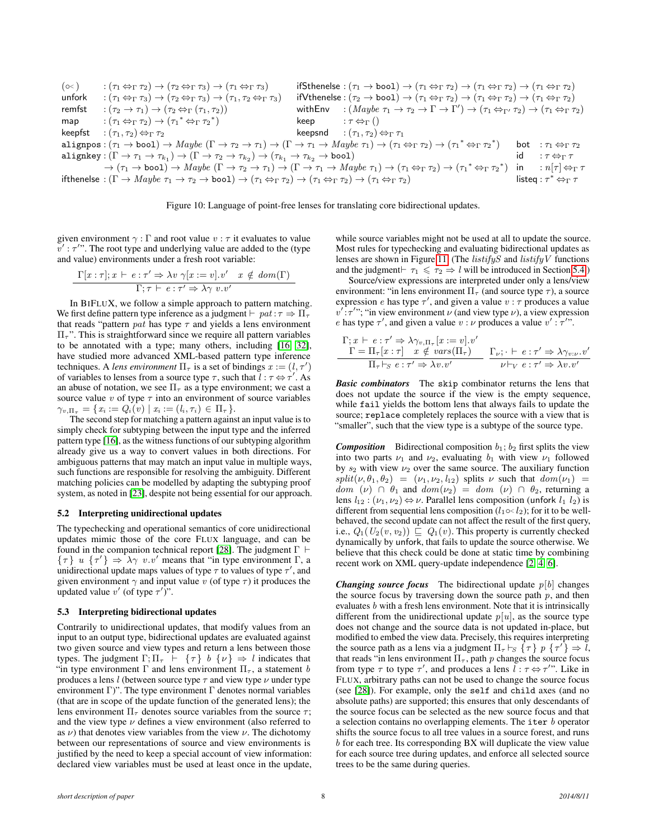<span id="page-7-0"></span>

| $(\infty)$ | $:(\tau_1 \Leftrightarrow_{\Gamma} \tau_2) \rightarrow (\tau_2 \Leftrightarrow_{\Gamma} \tau_3) \rightarrow (\tau_1 \Leftrightarrow_{\Gamma} \tau_3)$                                                                                                                                                          |      | ifSthenelse : $(\tau_1 \rightarrow \text{bool}) \rightarrow (\tau_1 \Leftrightarrow_{\Gamma} \tau_2) \rightarrow (\tau_1 \Leftrightarrow_{\Gamma} \tau_2) \rightarrow (\tau_1 \Leftrightarrow_{\Gamma} \tau_2)$ |    |                                                       |
|------------|----------------------------------------------------------------------------------------------------------------------------------------------------------------------------------------------------------------------------------------------------------------------------------------------------------------|------|-----------------------------------------------------------------------------------------------------------------------------------------------------------------------------------------------------------------|----|-------------------------------------------------------|
| unfork     | $:(\tau_1 \Leftrightarrow_{\Gamma} \tau_3) \rightarrow (\tau_2 \Leftrightarrow_{\Gamma} \tau_3) \rightarrow (\tau_1, \tau_2 \Leftrightarrow_{\Gamma} \tau_3)$                                                                                                                                                  |      | $ifVthenelse: (\tau_2 \rightarrow bool) \rightarrow (\tau_1 \Leftrightarrow_{\Gamma} \tau_2) \rightarrow (\tau_1 \Leftrightarrow_{\Gamma} \tau_2) \rightarrow (\tau_1 \Leftrightarrow_{\Gamma} \tau_2)$         |    |                                                       |
| remfst     | $\tau: (\tau_2 \to \tau_1) \to (\tau_2 \Leftrightarrow_{\Gamma} (\tau_1, \tau_2))$                                                                                                                                                                                                                             |      | with Env : $(Maybe \tau_1 \to \tau_2 \to \Gamma \to \Gamma') \to (\tau_1 \Leftrightarrow_{\Gamma'} \tau_2) \to (\tau_1 \Leftrightarrow_{\Gamma} \tau_2)$                                                        |    |                                                       |
| map        | $\tau: (\tau_1 \Leftrightarrow_{\Gamma} \tau_2) \rightarrow (\tau_1^* \Leftrightarrow_{\Gamma} \tau_2^*)$                                                                                                                                                                                                      | keep | $:\tau \Leftrightarrow_{\Gamma} ()$                                                                                                                                                                             |    |                                                       |
|            | <b>keepfst</b> $:(\tau_1,\tau_2) \Leftrightarrow_{\Gamma} \tau_2$                                                                                                                                                                                                                                              |      | keepsnd $:(\tau_1,\tau_2)\Leftrightarrow_{\Gamma}\tau_1$                                                                                                                                                        |    |                                                       |
|            | alignpos: $(\tau_1 \to \text{bool}) \to \text{Maybe } (\Gamma \to \tau_2 \to \tau_1) \to (\Gamma \to \tau_1 \to \text{Maybe } \tau_1) \to (\tau_1 \Leftrightarrow_{\Gamma} \tau_2) \to (\tau_1^* \Leftrightarrow_{\Gamma} \tau_2^*)$                                                                           |      |                                                                                                                                                                                                                 |    | <b>bot</b> : $\tau_1 \Leftrightarrow_{\Gamma} \tau_2$ |
|            | alignkey: $(\Gamma \to \tau_1 \to \tau_{k_1}) \to (\Gamma \to \tau_2 \to \tau_{k_2}) \to (\tau_{k_1} \to \tau_{k_2} \to \text{bool})$                                                                                                                                                                          |      |                                                                                                                                                                                                                 | id | $:\tau \Leftrightarrow_{\Gamma} \tau$                 |
|            | $\rightarrow (\tau_1 \rightarrow \text{bool}) \rightarrow \text{Maybe } (\Gamma \rightarrow \tau_2 \rightarrow \tau_1) \rightarrow (\Gamma \rightarrow \tau_1 \rightarrow \text{Maybe } \tau_1) \rightarrow (\tau_1 \Leftrightarrow_{\Gamma} \tau_2) \rightarrow (\tau_1^* \Leftrightarrow_{\Gamma} \tau_2^*)$ |      |                                                                                                                                                                                                                 |    | in : $n \tau  \Leftrightarrow_{\Gamma} \tau$          |
|            | if thenelse : $(\Gamma \to \text{Maybe } \tau_1 \to \tau_2 \to \text{bool}) \to (\tau_1 \Leftrightarrow_{\Gamma} \tau_2) \to (\tau_1 \Leftrightarrow_{\Gamma} \tau_2) \to (\tau_1 \Leftrightarrow_{\Gamma} \tau_2)$                                                                                            |      |                                                                                                                                                                                                                 |    | listeq : $\tau^* \Leftrightarrow_\Gamma \tau$         |

Figure 10: Language of point-free lenses for translating core bidirectional updates.

given environment  $\gamma : \Gamma$  and root value  $v : \tau$  it evaluates to value  $v'$ :  $\tau''$ . The root type and underlying value are added to the (type and value) environments under a fresh root variable:

$$
\frac{\Gamma[x:\tau]; x \vdash e : \tau' \Rightarrow \lambda v \; \gamma[x := v]. v' \quad x \notin dom(\Gamma)}{\Gamma; \tau \vdash e : \tau' \Rightarrow \lambda \gamma \; v. v'}
$$

In BIFLUX, we follow a simple approach to pattern matching. We first define pattern type inference as a judgment  $\vdash$  pat :  $\tau \Rightarrow \Pi_{\tau}$ that reads "pattern *pat* has type  $\tau$  and yields a lens environment  $\Pi_{\tau}$ ". This is straightforward since we require all pattern variables to be annotated with a type; many others, including [\[16,](#page-11-19) [32\]](#page-11-20), have studied more advanced XML-based pattern type inference techniques. A *lens environment*  $\Pi_{\tau}$  is a set of bindings  $x := (l, \tau')$ of variables to lenses from a source type  $\tau$ , such that  $l : \tau \leftrightarrow \tau'$ . As an abuse of notation, we see  $\Pi_{\tau}$  as a type environment; we cast a source value  $v$  of type  $\tau$  into an environment of source variables  $\gamma_{v,\Pi_{\tau}} = \{x_i := Q_i(v) \mid x_i := (l_i, \tau_i) \in \Pi_{\tau}\}.$ 

The second step for matching a pattern against an input value is to simply check for subtyping between the input type and the inferred pattern type [\[16\]](#page-11-19), as the witness functions of our subtyping algorithm already give us a way to convert values in both directions. For ambiguous patterns that may match an input value in multiple ways, such functions are responsible for resolving the ambiguity. Different matching policies can be modelled by adapting the subtyping proof system, as noted in [\[23\]](#page-11-18), despite not being essential for our approach.

#### 5.2 Interpreting unidirectional updates

The typechecking and operational semantics of core unidirectional updates mimic those of the core FLUX language, and can be found in the companion technical report [\[28\]](#page-11-27). The judgment  $\Gamma \vdash$  $\{\tau\}$  u  $\{\tau'\} \Rightarrow \lambda \gamma$  v.v' means that "in type environment  $\Gamma$ , a unidirectional update maps values of type  $\tau$  to values of type  $\tau'$ , and given environment  $\gamma$  and input value v (of type  $\tau$ ) it produces the updated value v' (of type  $\tau'$ )".

#### 5.3 Interpreting bidirectional updates

Contrarily to unidirectional updates, that modify values from an input to an output type, bidirectional updates are evaluated against two given source and view types and return a lens between those types. The judgment  $\Gamma;\Pi_{\tau} \vdash \{\tau\} \; b \; \{\nu\} \Rightarrow l$  indicates that "in type environment  $\Gamma$  and lens environment  $\Pi_{\tau}$ , a statement b produces a lens *l* (between source type  $\tau$  and view type  $\nu$  under type environment Γ)". The type environment Γ denotes normal variables (that are in scope of the update function of the generated lens); the lens environment  $\Pi_{\tau}$  denotes source variables from the source  $\tau$ ; and the view type  $\nu$  defines a view environment (also referred to as  $\nu$ ) that denotes view variables from the view  $\nu$ . The dichotomy between our representations of source and view environments is justified by the need to keep a special account of view information: declared view variables must be used at least once in the update, while source variables might not be used at all to update the source. Most rules for typechecking and evaluating bidirectional updates as lenses are shown in Figure [11.](#page-8-0) (The *listifyS* and *listifyV* functions and the judgment $\vdash \tau_1 \leq \tau_2 \Rightarrow l$  will be introduced in Section [5.4.](#page-9-1))

Source/view expressions are interpreted under only a lens/view environment: "in lens environment  $\Pi_{\tau}$  (and source type  $\tau$ ), a source expression e has type  $\tau'$ , and given a value  $v : \tau$  produces a value  $v'$ : $\tau''$ ; "in view environment  $\nu$  (and view type  $\nu$ ), a view expression e has type  $\tau'$ , and given a value  $v : \nu$  produces a value  $v' : \tau''$ .

$$
\frac{\Gamma; x \vdash e : \tau' \Rightarrow \lambda \gamma_{v, \Pi_{\tau}}[x := v]. v'}{\Gamma = \Pi_{\tau}[x : \tau] \quad x \notin vars(\Pi_{\tau})} \quad \frac{\Gamma_{\nu}; \cdot \vdash e : \tau' \Rightarrow \lambda \gamma_{v: \nu}. v'}{\nu \vdash_{V} e : \tau' \Rightarrow \lambda v. v'}
$$

*Basic combinators* The skip combinator returns the lens that does not update the source if the view is the empty sequence, while fail yields the bottom lens that always fails to update the source; replace completely replaces the source with a view that is "smaller", such that the view type is a subtype of the source type.

**Composition** Bidirectional composition  $b_1$ ;  $b_2$  first splits the view into two parts  $\nu_1$  and  $\nu_2$ , evaluating  $b_1$  with view  $\nu_1$  followed by  $s_2$  with view  $\nu_2$  over the same source. The auxiliary function  $split(\nu, \theta_1, \theta_2) = (\nu_1, \nu_2, l_{12})$  splits  $\nu$  such that  $dom(\nu_1) =$  $dom(\nu) \cap \theta_1$  and  $dom(\nu_2) = dom(\nu) \cap \theta_2$ , returning a lens  $l_{12}$ :  $(\nu_1, \nu_2) \Leftrightarrow \nu$ . Parallel lens composition (unfork  $l_1$   $l_2$ ) is different from sequential lens composition ( $l_1 \in l_2$ ); for it to be wellbehaved, the second update can not affect the result of the first query, i.e.,  $Q_1(U_2(v, v_2)) \sqsubseteq Q_1(v)$ . This property is currently checked dynamically by unfork, that fails to update the source otherwise. We believe that this check could be done at static time by combining recent work on XML query-update independence [\[2,](#page-11-28) [4,](#page-11-29) [6\]](#page-11-30).

*Changing source focus* The bidirectional update  $p[b]$  changes the source focus by traversing down the source path  $p$ , and then evaluates  $b$  with a fresh lens environment. Note that it is intrinsically different from the unidirectional update  $p[u]$ , as the source type does not change and the source data is not updated in-place, but modified to embed the view data. Precisely, this requires interpreting the source path as a lens via a judgment  $\Pi_{\tau} \vdash_S \{\tau\} \ p \ \{\tau'\} \Rightarrow \tilde{l}$ , that reads "in lens environment  $\Pi_{\tau}$ , path p changes the source focus from type  $\tau$  to type  $\tau'$ , and produces a lens  $\ell : \tau \leftrightarrow \tau''$ . Like in FLUX, arbitrary paths can not be used to change the source focus (see [\[28\]](#page-11-27)). For example, only the self and child axes (and no absolute paths) are supported; this ensures that only descendants of the source focus can be selected as the new source focus and that a selection contains no overlapping elements. The iter b operator shifts the source focus to all tree values in a source forest, and runs b for each tree. Its corresponding BX will duplicate the view value for each source tree during updates, and enforce all selected source trees to be the same during queries.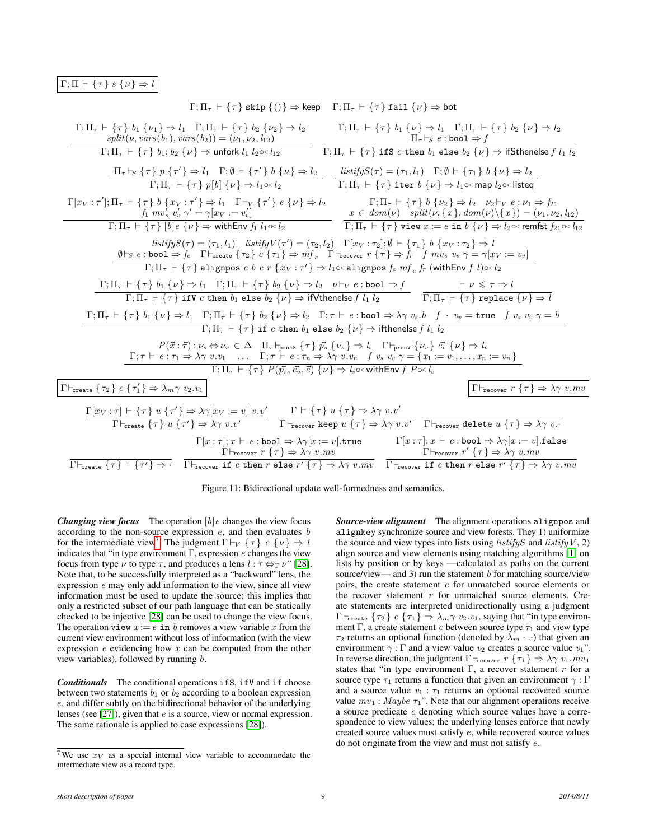# <span id="page-8-0"></span> $\Gamma;\Pi \vdash \{\tau\}\;s\;\{\nu\}\Rightarrow l$



Figure 11: Bidirectional update well-formedness and semantics.

*Changing view focus* The operation  $[b]e$  changes the view focus according to the non-source expression  $e$ , and then evaluates  $b$ for the intermediate view<sup>[7](#page-8-1)</sup>. The judgment  $\Gamma \vdash_V \{\tau\} e \{\nu\} \Rightarrow l$ indicates that "in type environment  $\Gamma$ , expression e changes the view focus from type  $\nu$  to type  $\tau$ , and produces a lens  $l : \tau \leftrightarrow \Gamma \nu$ " [\[28\]](#page-11-27). Note that, to be successfully interpreted as a "backward" lens, the expression e may only add information to the view, since all view information must be used to update the source; this implies that only a restricted subset of our path language that can be statically checked to be injective [\[28\]](#page-11-27) can be used to change the view focus. The operation view  $x := e$  in b removes a view variable x from the current view environment without loss of information (with the view expression  $e$  evidencing how  $x$  can be computed from the other view variables), followed by running  $b$ .

*Conditionals* The conditional operations ifS, ifV and if choose between two statements  $b_1$  or  $b_2$  according to a boolean expression e, and differ subtly on the bidirectional behavior of the underlying lenses (see [\[27\]](#page-11-10)), given that e is a source, view or normal expression. The same rationale is applied to case expressions [\[28\]](#page-11-27)).

*Source-view alignment* The alignment operations alignpos and alignkey synchronize source and view forests. They 1) uniformize the source and view types into lists using  $listifyS$  and  $listifyV$ , 2) align source and view elements using matching algorithms [\[1\]](#page-11-16) on lists by position or by keys —calculated as paths on the current source/view— and 3) run the statement  $b$  for matching source/view pairs, the create statement  $c$  for unmatched source elements or the recover statement  $r$  for unmatched source elements. Create statements are interpreted unidirectionally using a judgment  $\Gamma\vdash_{\mathtt{create}} \{\tau_2\}$   $c \{\tau_1\} \Rightarrow \lambda_m \gamma \; v_2 \ldots v_1$ , saying that "in type environment Γ, a create statement c between source type  $\tau_1$  and view type  $\tau_2$  returns an optional function (denoted by  $\lambda_m \cdot \cdot \cdot$ ) that given an environment  $\gamma : \Gamma$  and a view value  $v_2$  creates a source value  $v_1$ ". In reverse direction, the judgment  $\Gamma\vdash_{\text{recover}} r \{ \tau_1 \} \Rightarrow \lambda \gamma v_1.mv_1$ states that "in type environment  $\Gamma$ , a recover statement r for a source type  $\tau_1$  returns a function that given an environment  $\gamma : \Gamma$ and a source value  $v_1 : \tau_1$  returns an optional recovered source value  $mv_1$ : Maybe  $\tau_1$ ". Note that our alignment operations receive a source predicate e denoting which source values have a correspondence to view values; the underlying lenses enforce that newly created source values must satisfy e, while recovered source values do not originate from the view and must not satisfy e.

<span id="page-8-1"></span><sup>&</sup>lt;sup>7</sup> We use  $x_V$  as a special internal view variable to accommodate the intermediate view as a record type.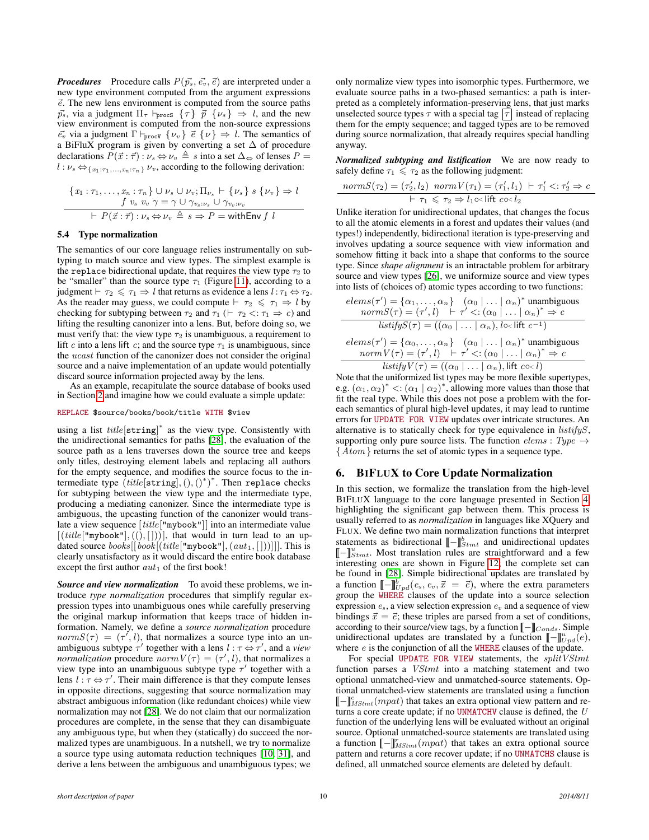*Procedures* Procedure calls  $P(\vec{p_s}, \vec{e_v}, \vec{e})$  are interpreted under a new type environment computed from the argument expressions  $\vec{e}$ . The new lens environment is computed from the source paths  $\vec{p}_s$ , via a judgment  $\Pi_\tau \vdash_{\text{procs}} {\{\tau\}} \vec{p} \{\nu_s\} \Rightarrow l$ , and the new view environment is computed from the non-source expressions  $\vec{e_v}$  via a judgment  $\Gamma \vdash_{\text{procV}} {\{v_v\}} \vec{e} {\{v\}} \Rightarrow l$ . The semantics of a BiFluX program is given by converting a set  $\Delta$  of procedure declarations  $P(\vec{x} : \vec{\tau}) : \nu_s \Leftrightarrow \nu_v \triangleq s$  into a set  $\Delta \Leftrightarrow$  of lenses  $P =$  $l: \nu_s \Leftrightarrow \{x_1:\tau_1,\ldots,x_n:\tau_n\} \nu_v$ , according to the following derivation:

$$
\frac{\{x_1:\tau_1,\ldots,x_n:\tau_n\}\cup \nu_s\cup \nu_v;\Pi_{\nu_s}\vdash \{\nu_s\} \ s \{\nu_v\} \Rightarrow l}{f \ v_s \ v_v \ \gamma = \gamma \cup \gamma_{v_s:\nu_s} \cup \gamma_{v_v:\nu_v}}\n\vdash P(\vec{x}:\vec{\tau}): \nu_s \Leftrightarrow \nu_v \triangleq s \Rightarrow P = \text{withEnv } f \ l
$$

## <span id="page-9-1"></span>5.4 Type normalization

The semantics of our core language relies instrumentally on subtyping to match source and view types. The simplest example is the replace bidirectional update, that requires the view type  $\tau_2$  to be "smaller" than the source type  $\tau_1$  (Figure [11\)](#page-8-0), according to a judgment  $\vdash \tau_2 \leq \tau_1 \Rightarrow l$  that returns as evidence a lens  $l : \tau_1 \Leftrightarrow \tau_2$ . As the reader may guess, we could compute  $\vdash \tau_2 \leq \tau_1 \Rightarrow l$  by checking for subtyping between  $\tau_2$  and  $\tau_1$  ( $\vdash \tau_2 < \vdots \tau_1 \Rightarrow c$ ) and lifting the resulting canonizer into a lens. But, before doing so, we must verify that: the view type  $\tau_2$  is unambiguous, a requirement to lift c into a lens lift c; and the source type  $\tau_1$  is unambiguous, since the ucast function of the canonizer does not consider the original source and a naive implementation of an update would potentially discard source information projected away by the lens.

As an example, recapitulate the source database of books used in Section [2](#page-1-0) and imagine how we could evaluate a simple update:

## REPLACE \$source/books/book/title WITH \$view

using a list  $title[string]^*$  as the view type. Consistently with the unidirectional semantics for paths [\[28\]](#page-11-27), the evaluation of the source path as a lens traverses down the source tree and keeps only titles, destroying element labels and replacing all authors for the empty sequence, and modifies the source focus to the intermediate type  $(\text{title}[\texttt{string}],(),()^*)^*$ . Then replace checks for subtyping between the view type and the intermediate type, producing a mediating canonizer. Since the intermediate type is ambiguous, the upcasting function of the canonizer would translate a view sequence [title["mybook"]] into an intermediate value  $[(title["mybook"], ((), []))]$ , that would in turn lead to an updated source  $books[[book[(title["mybook",(aut_1, []))]]]$ . This is clearly unsatisfactory as it would discard the entire book database except the first author  $aut_1$  of the first book!

*Source and view normalization* To avoid these problems, we introduce *type normalization* procedures that simplify regular expression types into unambiguous ones while carefully preserving the original markup information that keeps trace of hidden information. Namely, we define a *source normalization* procedure  $normS(\tau) = (\tau', l)$ , that normalizes a source type into an unambiguous subtype  $\tau'$  together with a lens  $l : \tau \leftrightarrow \tau'$ , and a *view normalization* procedure  $normV(\tau) = (\tau', l)$ , that normalizes a view type into an unambiguous subtype type  $\tau'$  together with a lens  $l : \tau \leftrightarrow \tau'$ . Their main difference is that they compute lenses in opposite directions, suggesting that source normalization may abstract ambiguous information (like redundant choices) while view normalization may not [\[28\]](#page-11-27). We do not claim that our normalization procedures are complete, in the sense that they can disambiguate any ambiguous type, but when they (statically) do succeed the normalized types are unambiguous. In a nutshell, we try to normalize a source type using automata reduction techniques [\[10,](#page-11-25) [31\]](#page-11-26), and derive a lens between the ambiguous and unambiguous types; we only normalize view types into isomorphic types. Furthermore, we evaluate source paths in a two-phased semantics: a path is interpreted as a completely information-preserving lens, that just marks unselected source types  $\tau$  with a special tag  $\boxed{\tau}$  instead of replacing them for the empty sequence; and tagged types are to be removed during source normalization, that already requires special handling anyway.

*Normalized subtyping and listification* We are now ready to safely define  $\tau_1 \leq \tau_2$  as the following judgment:

$$
\underset{\uparrow}{normS(\tau_2) = (\tau_2', l_2) \ norm \ V(\tau_1) = (\tau_1', l_1) \ \vdash \ \tau_1' <: \tau_2' \Rightarrow c}{\vdash \ \tau_1 \leq \ \tau_2 \Rightarrow l_1 \circ \text{lift } c \circ \text{cl}_2}
$$

Unlike iteration for unidirectional updates, that changes the focus to all the atomic elements in a forest and updates their values (and types!) independently, bidirectional iteration is type-preserving and involves updating a source sequence with view information and somehow fitting it back into a shape that conforms to the source type. Since *shape alignment* is an intractable problem for arbitrary source and view types [\[26\]](#page-11-23), we uniformize source and view types into lists of (choices of) atomic types according to two functions:

$$
elems(\tau') = \{\alpha_1, \dots, \alpha_n\} \quad (\alpha_0 \mid \dots \mid \alpha_n)^* \text{ unambiguous}
$$
  
\n
$$
normS(\tau) = (\tau', l) \mid \tau' < : (\alpha_0 \mid \dots \mid \alpha_n)^* \Rightarrow c
$$
  
\n
$$
listifyS(\tau) = ((\alpha_0 \mid \dots \mid \alpha_n), l \circ \text{lift } c^{-1})
$$
  
\n
$$
elems(\tau') = \{\alpha_0, \dots, \alpha_n\} \quad (\alpha_0 \mid \dots \mid \alpha_n)^* \text{ unambiguous}
$$
  
\n
$$
normV(\tau) = (\tau', l) \mid \tau' < : (\alpha_0 \mid \dots \mid \alpha_n)^* \Rightarrow c
$$
  
\n
$$
listifyV(\tau) = ((\alpha_0 \mid \dots \mid \alpha_n), lift \ c \circ l)
$$

Note that the uniformized list types may be more flexible supertypes, e.g.  $(\alpha_1, \alpha_2)^* < (\alpha_1 | \alpha_2)^*$ , allowing more values than those that fit the real type. While this does not pose a problem with the foreach semantics of plural high-level updates, it may lead to runtime errors for UPDATE FOR VIEW updates over intricate structures. An alternative is to statically check for type equivalence in listifyS, supporting only pure source lists. The function  $elements : Type \rightarrow$  ${A}$  *tom* } returns the set of atomic types in a sequence type.

## <span id="page-9-0"></span>6. BIFLUX to Core Update Normalization

In this section, we formalize the translation from the high-level BIFLUX language to the core language presented in Section [4,](#page-4-0) highlighting the significant gap between them. This process is usually referred to as *normalization* in languages like XQuery and FLUX. We define two main normalization functions that interpret statements as bidirectional  $[\![ - ]\!]_{stmt}^b$  and unidirectional updates  $[\![ - ]\!]_t^u$  Most translation rules are straightforward and a few  $\left[\begin{matrix} -\end{matrix}\right]_{2}^{u}$ . Most translation rules are straightforward and a few interesting ones are shown in Figure 12; the complete set can interesting ones are shown in Figure [12;](#page-11-31) the complete set can be found in [\[28\]](#page-11-27). Simple bidirectional updates are translated by a function  $[-\phi]_{p,d}^b(e_s, e_v, \vec{x} = \vec{e})$ , where the extra parameters group the WHERE clauses of the update into a source selection expression  $e_s$ , a view selection expression  $e_v$  and a sequence of view bindings  $\vec{x} = \vec{e}$ ; these triples are parsed from a set of conditions, according to their source/view tags, by a function  $\llbracket - \rrbracket_{Conds}$ . Simple unidirectional updates are translated by a function  $[\![...]\!]_{\nu pd}^u(e)$ ,<br>where e is the conjunction of all the WHERE clauses of the update where  $e$  is the conjunction of all the WHERE clauses of the update.

For special UPDATE FOR VIEW statements, the splitVStmt function parses a VStmt into a matching statement and two optional unmatched-view and unmatched-source statements. Optional unmatched-view statements are translated using a function  $\left[\begin{array}{c} \begin{bmatrix} - \end{bmatrix}_{\text{a}}^{\text{c}}(mpat) \end{array}\right]$  that takes an extra optional view pattern and re-<br>turns a core create undate: if no IBMATCHV clause is defined, the *U* turns a core create update; if no UNMATCHV clause is defined, the  $U$ function of the underlying lens will be evaluated without an original source. Optional unmatched-source statements are translated using a function  $[\![\ ]\!]_{MStmt}^r(mp)$  that takes an extra optional source pattern and returns a core recover update; if no UNMATCHS clause is defined, all unmatched source elements are deleted by default.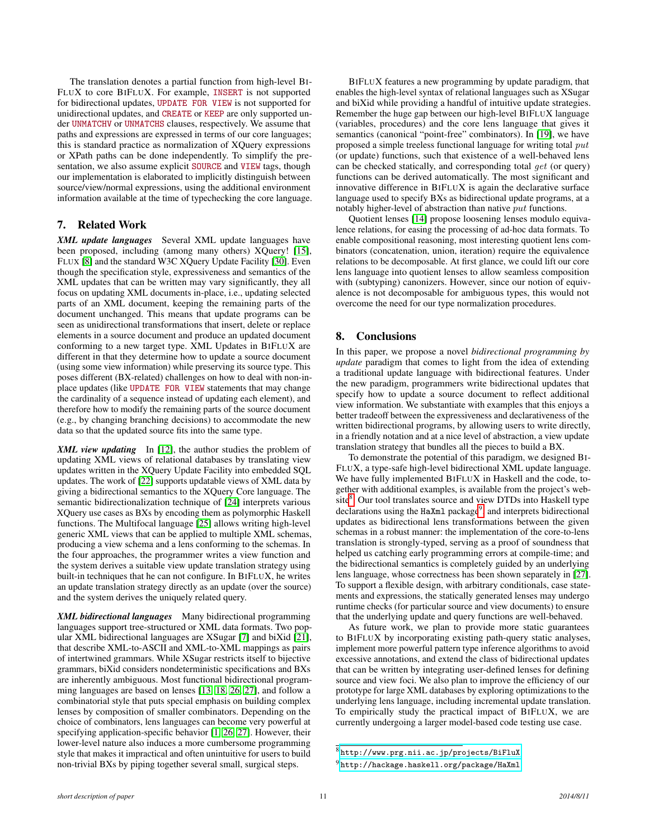The translation denotes a partial function from high-level BI-FLUX to core BIFLUX. For example, INSERT is not supported for bidirectional updates, UPDATE FOR VIEW is not supported for unidirectional updates, and CREATE or KEEP are only supported under UNMATCHV or UNMATCHS clauses, respectively. We assume that paths and expressions are expressed in terms of our core languages; this is standard practice as normalization of XQuery expressions or XPath paths can be done independently. To simplify the presentation, we also assume explicit SOURCE and VIEW tags, though our implementation is elaborated to implicitly distinguish between source/view/normal expressions, using the additional environment information available at the time of typechecking the core language.

# <span id="page-10-0"></span>7. Related Work

*XML update languages* Several XML update languages have been proposed, including (among many others) XQuery! [\[15\]](#page-11-12), FLUX [\[8\]](#page-11-11) and the standard W3C XQuery Update Facility [\[30\]](#page-11-13). Even though the specification style, expressiveness and semantics of the XML updates that can be written may vary significantly, they all focus on updating XML documents in-place, i.e., updating selected parts of an XML document, keeping the remaining parts of the document unchanged. This means that update programs can be seen as unidirectional transformations that insert, delete or replace elements in a source document and produce an updated document conforming to a new target type. XML Updates in BIFLUX are different in that they determine how to update a source document (using some view information) while preserving its source type. This poses different (BX-related) challenges on how to deal with non-inplace updates (like UPDATE FOR VIEW statements that may change the cardinality of a sequence instead of updating each element), and therefore how to modify the remaining parts of the source document (e.g., by changing branching decisions) to accommodate the new data so that the updated source fits into the same type.

*XML view updating* In [\[12\]](#page-11-2), the author studies the problem of updating XML views of relational databases by translating view updates written in the XQuery Update Facility into embedded SQL updates. The work of [\[22\]](#page-11-6) supports updatable views of XML data by giving a bidirectional semantics to the XQuery Core language. The semantic bidirectionalization technique of [\[24\]](#page-11-8) interprets various XQuery use cases as BXs by encoding them as polymorphic Haskell functions. The Multifocal language [\[25\]](#page-11-7) allows writing high-level generic XML views that can be applied to multiple XML schemas, producing a view schema and a lens conforming to the schemas. In the four approaches, the programmer writes a view function and the system derives a suitable view update translation strategy using built-in techniques that he can not configure. In BIFLUX, he writes an update translation strategy directly as an update (over the source) and the system derives the uniquely related query.

*XML bidirectional languages* Many bidirectional programming languages support tree-structured or XML data formats. Two popular XML bidirectional languages are XSugar [\[7\]](#page-11-1) and biXid [\[21\]](#page-11-5), that describe XML-to-ASCII and XML-to-XML mappings as pairs of intertwined grammars. While XSugar restricts itself to bijective grammars, biXid considers nondeterministic specifications and BXs are inherently ambiguous. Most functional bidirectional programming languages are based on lenses [\[13,](#page-11-9) [18,](#page-11-4) [26,](#page-11-23) [27\]](#page-11-10), and follow a combinatorial style that puts special emphasis on building complex lenses by composition of smaller combinators. Depending on the choice of combinators, lens languages can become very powerful at specifying application-specific behavior [\[1,](#page-11-16) [26,](#page-11-23) [27\]](#page-11-10). However, their lower-level nature also induces a more cumbersome programming style that makes it impractical and often unintuitive for users to build non-trivial BXs by piping together several small, surgical steps.

BIFLUX features a new programming by update paradigm, that enables the high-level syntax of relational languages such as XSugar and biXid while providing a handful of intuitive update strategies. Remember the huge gap between our high-level BIFLUX language (variables, procedures) and the core lens language that gives it semantics (canonical "point-free" combinators). In [\[19\]](#page-11-32), we have proposed a simple treeless functional language for writing total put (or update) functions, such that existence of a well-behaved lens can be checked statically, and corresponding total get (or query) functions can be derived automatically. The most significant and innovative difference in BIFLUX is again the declarative surface language used to specify BXs as bidirectional update programs, at a notably higher-level of abstraction than native put functions.

Quotient lenses [\[14\]](#page-11-3) propose loosening lenses modulo equivalence relations, for easing the processing of ad-hoc data formats. To enable compositional reasoning, most interesting quotient lens combinators (concatenation, union, iteration) require the equivalence relations to be decomposable. At first glance, we could lift our core lens language into quotient lenses to allow seamless composition with (subtyping) canonizers. However, since our notion of equivalence is not decomposable for ambiguous types, this would not overcome the need for our type normalization procedures.

# <span id="page-10-1"></span>8. Conclusions

In this paper, we propose a novel *bidirectional programming by update* paradigm that comes to light from the idea of extending a traditional update language with bidirectional features. Under the new paradigm, programmers write bidirectional updates that specify how to update a source document to reflect additional view information. We substantiate with examples that this enjoys a better tradeoff between the expressiveness and declarativeness of the written bidirectional programs, by allowing users to write directly, in a friendly notation and at a nice level of abstraction, a view update translation strategy that bundles all the pieces to build a BX.

To demonstrate the potential of this paradigm, we designed BI-FLUX, a type-safe high-level bidirectional XML update language. We have fully implemented BIFLUX in Haskell and the code, together with additional examples, is available from the project's web-site<sup>[8](#page-10-2)</sup>. Our tool translates source and view DTDs into Haskell type declarations using the HaXml package<sup>[9](#page-10-3)</sup>, and interprets bidirectional updates as bidirectional lens transformations between the given schemas in a robust manner: the implementation of the core-to-lens translation is strongly-typed, serving as a proof of soundness that helped us catching early programming errors at compile-time; and the bidirectional semantics is completely guided by an underlying lens language, whose correctness has been shown separately in [\[27\]](#page-11-10). To support a flexible design, with arbitrary conditionals, case statements and expressions, the statically generated lenses may undergo runtime checks (for particular source and view documents) to ensure that the underlying update and query functions are well-behaved.

As future work, we plan to provide more static guarantees to BIFLUX by incorporating existing path-query static analyses, implement more powerful pattern type inference algorithms to avoid excessive annotations, and extend the class of bidirectional updates that can be written by integrating user-defined lenses for defining source and view foci. We also plan to improve the efficiency of our prototype for large XML databases by exploring optimizations to the underlying lens language, including incremental update translation. To empirically study the practical impact of BIFLUX, we are currently undergoing a larger model-based code testing use case.

<span id="page-10-2"></span> $^8$ <http://www.prg.nii.ac.jp/projects/BiFluX>

<span id="page-10-3"></span><sup>9</sup> <http://hackage.haskell.org/package/HaXml>